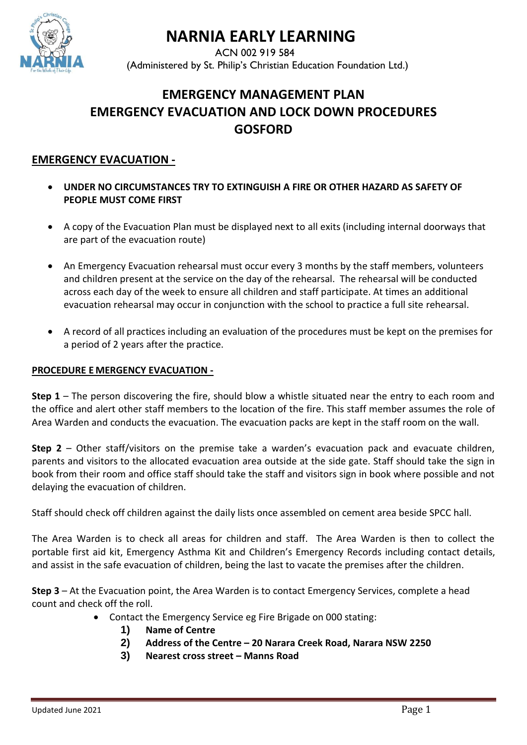

# **NARNIA EARLY LEARNING**

 ACN 002 919 584 (Administered by St. Philip's Christian Education Foundation Ltd.)

## **EMERGENCY MANAGEMENT PLAN EMERGENCY EVACUATION AND LOCK DOWN PROCEDURES GOSFORD**

### **EMERGENCY EVACUATION -**

- **UNDER NO CIRCUMSTANCES TRY TO EXTINGUISH A FIRE OR OTHER HAZARD AS SAFETY OF PEOPLE MUST COME FIRST**
- A copy of the Evacuation Plan must be displayed next to all exits (including internal doorways that are part of the evacuation route)
- An Emergency Evacuation rehearsal must occur every 3 months by the staff members, volunteers and children present at the service on the day of the rehearsal. The rehearsal will be conducted across each day of the week to ensure all children and staff participate. At times an additional evacuation rehearsal may occur in conjunction with the school to practice a full site rehearsal.
- A record of all practices including an evaluation of the procedures must be kept on the premises for a period of 2 years after the practice.

#### **PROCEDURE E MERGENCY EVACUATION -**

**Step 1** – The person discovering the fire, should blow a whistle situated near the entry to each room and the office and alert other staff members to the location of the fire. This staff member assumes the role of Area Warden and conducts the evacuation. The evacuation packs are kept in the staff room on the wall.

**Step 2** – Other staff/visitors on the premise take a warden's evacuation pack and evacuate children, parents and visitors to the allocated evacuation area outside at the side gate. Staff should take the sign in book from their room and office staff should take the staff and visitors sign in book where possible and not delaying the evacuation of children.

Staff should check off children against the daily lists once assembled on cement area beside SPCC hall.

The Area Warden is to check all areas for children and staff. The Area Warden is then to collect the portable first aid kit, Emergency Asthma Kit and Children's Emergency Records including contact details, and assist in the safe evacuation of children, being the last to vacate the premises after the children.

**Step 3** – At the Evacuation point, the Area Warden is to contact Emergency Services, complete a head count and check off the roll.

- Contact the Emergency Service eg Fire Brigade on 000 stating:
	- **1) Name of Centre**
	- **2) Address of the Centre – 20 Narara Creek Road, Narara NSW 2250**
	- **3) Nearest cross street – Manns Road**